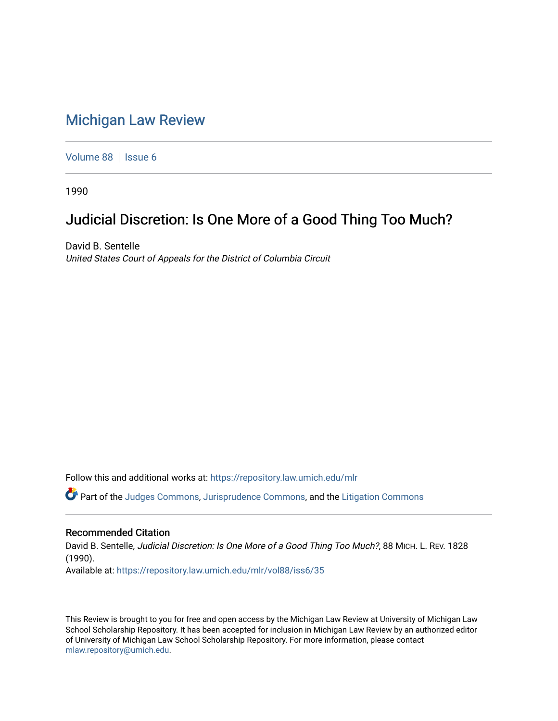## [Michigan Law Review](https://repository.law.umich.edu/mlr)

[Volume 88](https://repository.law.umich.edu/mlr/vol88) | [Issue 6](https://repository.law.umich.edu/mlr/vol88/iss6)

1990

# Judicial Discretion: Is One More of a Good Thing Too Much?

David B. Sentelle United States Court of Appeals for the District of Columbia Circuit

Follow this and additional works at: [https://repository.law.umich.edu/mlr](https://repository.law.umich.edu/mlr?utm_source=repository.law.umich.edu%2Fmlr%2Fvol88%2Fiss6%2F35&utm_medium=PDF&utm_campaign=PDFCoverPages) 

Part of the [Judges Commons,](http://network.bepress.com/hgg/discipline/849?utm_source=repository.law.umich.edu%2Fmlr%2Fvol88%2Fiss6%2F35&utm_medium=PDF&utm_campaign=PDFCoverPages) [Jurisprudence Commons](http://network.bepress.com/hgg/discipline/610?utm_source=repository.law.umich.edu%2Fmlr%2Fvol88%2Fiss6%2F35&utm_medium=PDF&utm_campaign=PDFCoverPages), and the [Litigation Commons](http://network.bepress.com/hgg/discipline/910?utm_source=repository.law.umich.edu%2Fmlr%2Fvol88%2Fiss6%2F35&utm_medium=PDF&utm_campaign=PDFCoverPages)

#### Recommended Citation

David B. Sentelle, Judicial Discretion: Is One More of a Good Thing Too Much?, 88 MICH. L. REV. 1828 (1990). Available at: [https://repository.law.umich.edu/mlr/vol88/iss6/35](https://repository.law.umich.edu/mlr/vol88/iss6/35?utm_source=repository.law.umich.edu%2Fmlr%2Fvol88%2Fiss6%2F35&utm_medium=PDF&utm_campaign=PDFCoverPages) 

This Review is brought to you for free and open access by the Michigan Law Review at University of Michigan Law School Scholarship Repository. It has been accepted for inclusion in Michigan Law Review by an authorized editor of University of Michigan Law School Scholarship Repository. For more information, please contact [mlaw.repository@umich.edu.](mailto:mlaw.repository@umich.edu)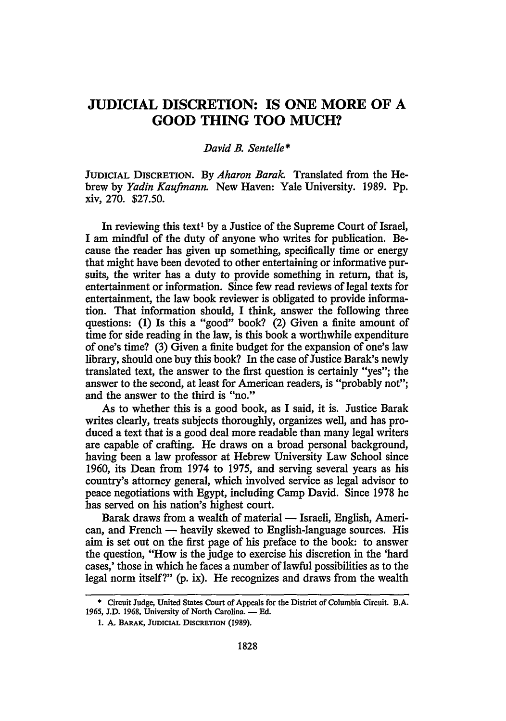### **JUDICIAL DISCRETION: IS ONE MORE OF A GOOD THING TOO MUCH?**

#### *David B. Sentelle\**

JUDICIAL DISCRETION. By *Aharon Barak.* Translated from the Hebrew by *Yadin Kaufmann.* New Haven: Yale University. 1989. Pp. xiv, 270. \$27.50.

In reviewing this text<sup>1</sup> by a Justice of the Supreme Court of Israel, I am mindful of the duty of anyone who writes for publication. Because the reader has given up something, specifically time or energy that might have been devoted to other entertaining or informative pursuits, the writer has a duty to provide something in return, that is, entertainment or information. Since few read reviews of legal texts for entertainment, the law book reviewer is obligated to provide information. That information should, I think, answer the following three questions: (1) Is this a "good" book? (2) Given a finite amount of time for side reading in the law, is this book a worthwhile expenditure of one's time? (3) Given a finite budget for the expansion of one's law library, should one buy this book? In the case of Justice Barak's newly translated text, the answer to the first question is certainly "yes"; the answer to the second, at least for American readers, is "probably not"; and the answer to the third is "no."

As to whether this is a good book, as I said, it is. Justice Barak writes clearly, treats subjects thoroughly, organizes well, and has produced a text that is a good deal more readable than many legal writers are capable of crafting. He draws on a broad personal background, having been a law professor at Hebrew University Law School since 1960, its Dean from 1974 to 1975, and serving several years as his country's attorney general, which involved service as legal advisor to peace negotiations with Egypt, including Camp David. Since 1978 he has served on his nation's highest court.

Barak draws from a wealth of material — Israeli, English, American, and French — heavily skewed to English-language sources. His aim is set out on the first page of his preface to the book: to answer the question, "How is the judge to exercise his discretion in the 'hard cases,' those in which he faces a number of lawful possibilities as to the legal norm itself?" (p. ix). He recognizes and draws from the wealth

<sup>•</sup> Circuit Judge, United States Court of Appeals for the District of Columbia Circuit. B.A. 1965, J.D. 1968, University of North Carolina. - Ed.

<sup>1.</sup> A. BARAK, JUDICIAL DISCRETION (1989).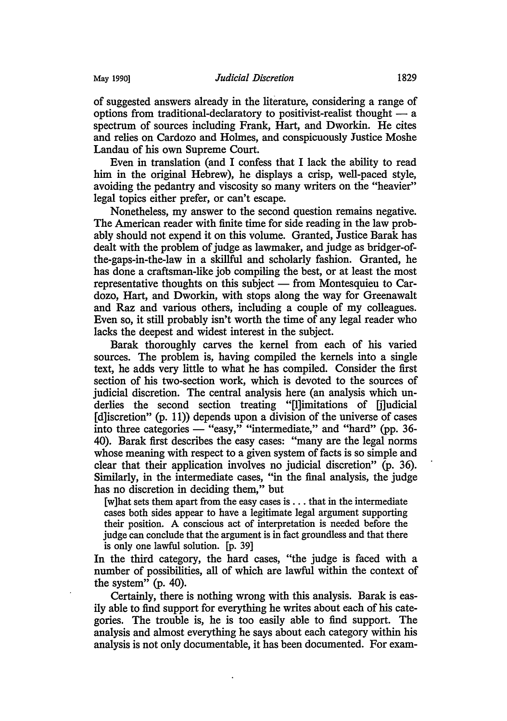of suggested answers already in the literature, considering a range of options from traditional-declaratory to positivist-realist thought  $-$  a spectrum of sources including Frank, Hart, and Dworkin. He cites and relies on Cardozo and Holmes, and conspicuously Justice Moshe Landau of his own Supreme Court.

Even in translation (and I confess that I lack the ability to read him in the original Hebrew), he displays a crisp, well-paced style, avoiding the pedantry and viscosity so many writers on the "heavier" legal topics either prefer, or can't escape.

Nonetheless, my answer to the second question remains negative. The American reader with finite time for side reading in the law probably should not expend it on this volume. Granted, Justice Barak has dealt with the problem of judge as lawmaker, and judge as bridger-ofthe-gaps-in-the-law in a skillful and scholarly fashion. Granted, he has done a craftsman-like job compiling the best, or at least the most representative thoughts on this subject  $-$  from Montesquieu to Cardozo, Hart, and Dworkin, with stops along the way for Greenawalt and Raz and various others, including a couple of my colleagues. Even so, it still probably isn't worth the time of any legal reader who lacks the deepest and widest interest in the subject.

Barak thoroughly carves the kernel from each of his varied sources. The problem is, having compiled the kernels into a single text, he adds very little to what he has compiled. Consider the first section of his two-section work, which is devoted to the sources of judicial discretion. The central analysis here (an analysis which underlies the second section treating "[!]imitations of [j]udicial [d]iscretion" (p. 11)) depends upon a division of the universe of cases into three categories — "easy," "intermediate," and "hard" (pp. 36-40). Barak first describes the easy cases: "many are the legal norms whose meaning with respect to a given system of facts is so simple and clear that their application involves no judicial discretion" (p. 36). Similarly, in the intermediate cases, "in the final analysis, the judge has no discretion in deciding them," but

[w]hat sets them apart from the easy cases is ... that in the intermediate cases both sides appear to have a legitimate legal argument supporting their position. A conscious act of interpretation is needed before the judge can conclude that the argument is in fact groundless and that there is only one lawful solution. [p. 39]

In the third category, the hard cases, "the judge is faced with a number of possibilities, all of which are lawful within the context of the system $\overline{p}$  (p. 40).

Certainly, there is nothing wrong with this analysis. Barak is easily able to find support for everything he writes about each of his categories. The trouble is, he is too easily able to find support. The analysis and almost everything he says about each category within his analysis is not only documentable, it has been documented. For exam-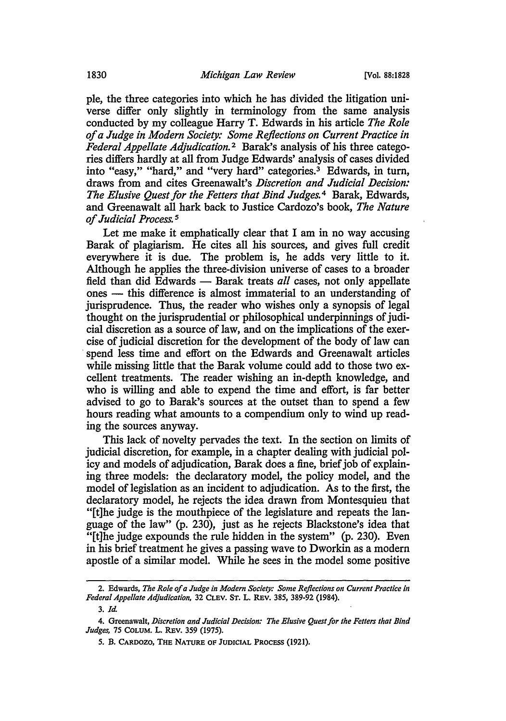ple, the three categories into which he has divided the litigation universe differ only slightly in terminology from the same analysis conducted by my colleague Harry T. Edwards in his article *The Role of a Judge in Modern Society: Some Reflections on Current Practice in Federal Appellate Adjudication.* 2 Barak's analysis of his three categories differs hardly at all from Judge Edwards' analysis of cases divided into "easy," "hard," and "very hard" categories.<sup>3</sup> Edwards, in turn, draws from and cites Greenawalt's *Discretion and Judicial Decision: The Elusive Quest for the Fetters that Bind Judges.* 4 Barak, Edwards, and Greenawalt all hark back to Justice Cardozo's book, *The Nature of Judicial Process.* <sup>5</sup>

Let me make it emphatically clear that I am in no way accusing Barak of plagiarism. He cites all his sources, and gives full credit everywhere it is due. The problem is, he adds very little to it. Although he applies the three-division universe of cases to a broader field than did Edwards — Barak treats *all* cases, not only appellate ones — this difference is almost immaterial to an understanding of jurisprudence. Thus, the reader who wishes only a synopsis of legal thought on the jurisprudential or philosophical underpinnings of judicial discretion as a source of law, and on the implications of the exercise of judicial discretion for the development of the body of law can spend less time and effort on the Edwards and Greenawalt articles while missing little that the Barak volume could add to those two excellent treatments. The reader wishing an in-depth knowledge, and who is willing and able to expend the time and effort, is far better advised to go to Barak's sources at the outset than to spend a few hours reading what amounts to a compendium only to wind up reading the sources anyway.

This lack of novelty pervades the text. In the section on limits of judicial discretion, for example, in a chapter dealing with judicial policy and models of adjudication, Barak does a fine, brief job of explaining three models: the declaratory model, the policy model, and the model of legislation as an incident to adjudication. As to the first, the declaratory model, he rejects the idea drawn from Montesquieu that "[t]he judge is the mouthpiece of the legislature and repeats the language of the law" (p. 230), just as he rejects Blackstone's idea that "[t]he judge expounds the rule hidden in the system" (p. 230). Even in his brief treatment he gives a passing wave to Dworkin as a modern apostle of a similar model. While he sees in the model some positive

<sup>2.</sup> Edwards, *The Role of a Judge in Modem Society: Some Reflections on Current Practice in Federal Appellate Adjudication,* 32 CLEV. ST. L. REV. 385, 389-92 (1984).

<sup>3.</sup> *Id.* 

<sup>4.</sup> Greenawalt, *Discretion and Judicial Decision: The Elusive Quest for the Fetters that Bind Judges,* 75 COLUM. L. REV. 359 (1975).

*<sup>5.</sup>* B. CARDOZO, THE NATURE OF JUDICIAL PROCESS (1921).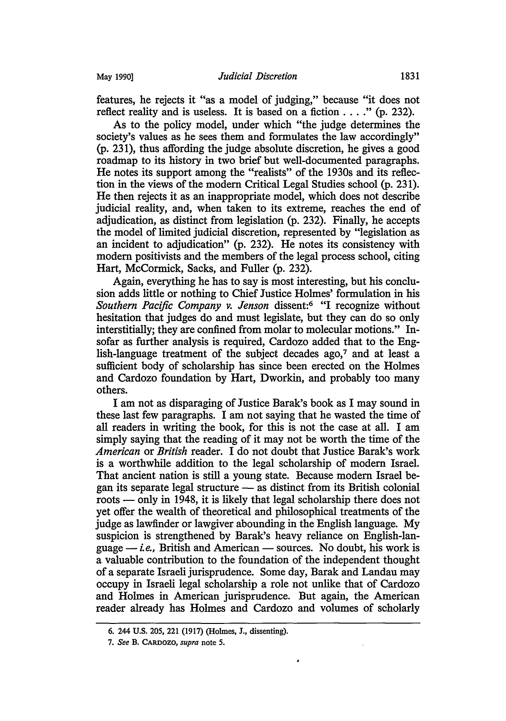features, he rejects it "as a model of judging," because "it does not reflect reality and is useless. It is based on a fiction  $\dots$  " (p. 232).

As to the policy model, under which "the judge determines the society's values as he sees them and formulates the law accordingly" (p. 231 ), thus affording the judge absolute discretion, he gives a good roadmap to its history in two brief but well-documented paragraphs. He notes its support among the "realists" of the 1930s and its reflection in the views of the modern Critical Legal Studies school (p. 231). He then rejects it as an inappropriate model, which does not describe judicial reality, and, when taken to its extreme, reaches the end of adjudication, as distinct from legislation (p. 232). Finally, he accepts the model of limited judicial discretion, represented by "legislation as an incident to adjudication" (p. 232). He notes its consistency with modern positivists and the members of the legal process school, citing Hart, McCormick, Sacks, and Fuller (p. 232).

Again, everything he has to say is most interesting, but his conclusion adds little or nothing to Chief Justice Holmes' formulation in his *Southern Pacific Company v. Jenson* dissent:6 "I recognize without hesitation that judges do and must legislate, but they can do so only interstitially; they are confined from molar to molecular motions." Insofar as further analysis is required, Cardozo added that to the English-language treatment of the subject decades ago,<sup>7</sup> and at least a sufficient body of scholarship has since been erected on the Holmes and Cardozo foundation by Hart, Dworkin, and probably too many others.

I am not as disparaging of Justice Barak's book as I may sound in these last few paragraphs. I am not saying that he wasted the time of all readers in writing the book, for this is not the case at all. I am simply saying that the reading of it may not be worth the time of the *American* or *British* reader. I do not doubt that Justice Barak's work is a worthwhile addition to the legal scholarship of modern Israel. That ancient nation is still a young state. Because modern Israel began its separate legal structure  $-$  as distinct from its British colonial roots — only in 1948, it is likely that legal scholarship there does not yet offer the wealth of theoretical and philosophical treatments of the judge as lawfinder or lawgiver abounding in the English language. My suspicion is strengthened by Barak's heavy reliance on English-language  $-i.e.,$  British and American  $-$  sources. No doubt, his work is a valuable contribution to the foundation of the independent thought of a separate Israeli jurisprudence. Some day, Barak and Landau may occupy in Israeli legal scholarship a role not unlike that of Cardozo and Holmes in American jurisprudence. But again, the American reader already has Holmes and Cardozo and volumes of scholarly

٠

<sup>6. 244</sup> U.S. 205, 221 (1917) (Holmes, J., dissenting).

<sup>7.</sup> *See* B. CARDOZO, *supra* note *5.*